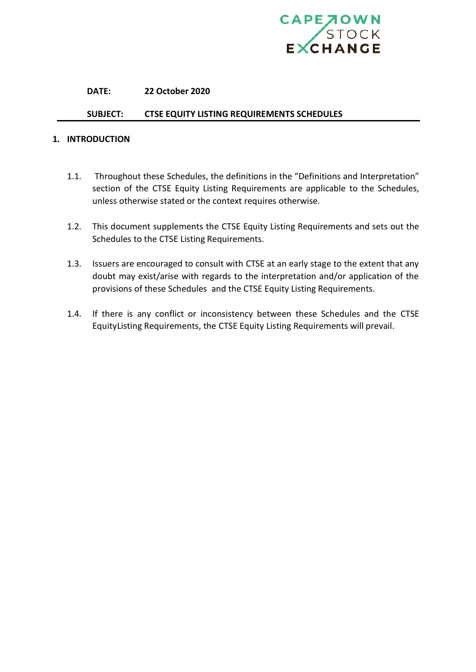

#### **DATE: 22 October 2020**

## **SUBJECT: CTSE EQUITY LISTING REQUIREMENTS SCHEDULES**

#### **1. INTRODUCTION**

- 1.1. Throughout these Schedules, the definitions in the "Definitions and Interpretation" section of the CTSE Equity Listing Requirements are applicable to the Schedules, unless otherwise stated or the context requires otherwise.
- 1.2. This document supplements the CTSE Equity Listing Requirements and sets out the Schedules to the CTSE Listing Requirements.
- 1.3. Issuers are encouraged to consult with CTSE at an early stage to the extent that any doubt may exist/arise with regards to the interpretation and/or application of the provisions of these Schedules and the CTSE Equity Listing Requirements.
- 1.4. If there is any conflict or inconsistency between these Schedules and the CTSE EquityListing Requirements, the CTSE Equity Listing Requirements will prevail.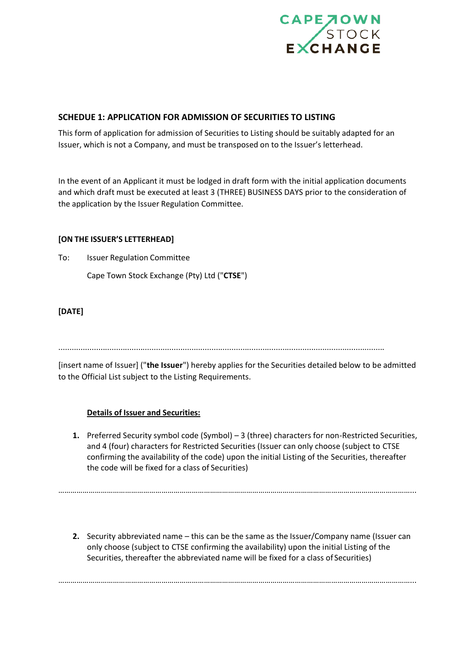

## **SCHEDUE 1: APPLICATION FOR ADMISSION OF SECURITIES TO LISTING**

This form of application for admission of Securities to Listing should be suitably adapted for an Issuer, which is not a Company, and must be transposed on to the Issuer's letterhead.

In the event of an Applicant it must be lodged in draft form with the initial application documents and which draft must be executed at least 3 (THREE) BUSINESS DAYS prior to the consideration of the application by the Issuer Regulation Committee.

## **[ON THE ISSUER'S LETTERHEAD]**

To: Issuer Regulation Committee

Cape Town Stock Exchange (Pty) Ltd ("**CTSE**")

# **[DATE]**

...................................................................................................................................................

[insert name of Issuer] ("**the Issuer**") hereby applies for the Securities detailed below to be admitted to the Official List subject to the Listing Requirements.

## **Details of Issuer and Securities:**

**1.** Preferred Security symbol code (Symbol) – 3 (three) characters for non-Restricted Securities, and 4 (four) characters for Restricted Securities (Issuer can only choose (subject to CTSE confirming the availability of the code) upon the initial Listing of the Securities, thereafter the code will be fixed for a class of Securities)

**2.** Security abbreviated name – this can be the same as the Issuer/Company name (Issuer can only choose (subject to CTSE confirming the availability) upon the initial Listing of the Securities, thereafter the abbreviated name will be fixed for a class of Securities)

…………………………………………………………………………………………………………………………………………………………...

…………………………………………………………………………………………………………………………………………………………...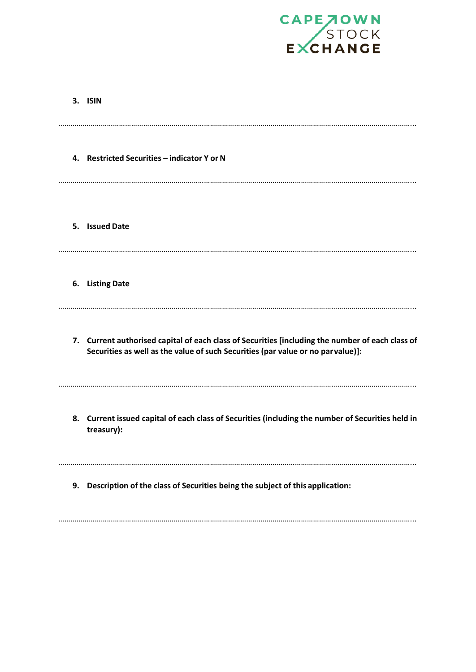

|    | 3. ISIN                                                                                                                                                                              |
|----|--------------------------------------------------------------------------------------------------------------------------------------------------------------------------------------|
|    | 4. Restricted Securities - indicator Y or N                                                                                                                                          |
|    | 5. Issued Date                                                                                                                                                                       |
|    | 6. Listing Date                                                                                                                                                                      |
|    | 7. Current authorised capital of each class of Securities [including the number of each class of<br>Securities as well as the value of such Securities (par value or no par value)]: |
|    | 8. Current issued capital of each class of Securities (including the number of Securities held in<br>treasury):                                                                      |
| 9. | Description of the class of Securities being the subject of this application:                                                                                                        |

…………………………………………………………………………………………………………………………………………………………...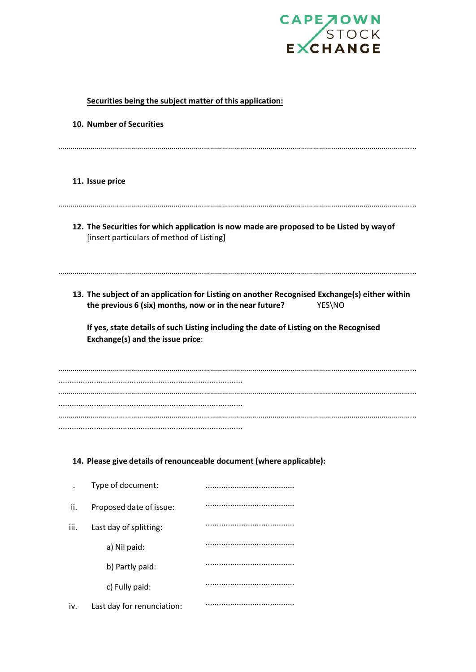

| Securities being the subject matter of this application: |                                                                                                                           |                                                                                                         |  |  |  |  |  |  |  |
|----------------------------------------------------------|---------------------------------------------------------------------------------------------------------------------------|---------------------------------------------------------------------------------------------------------|--|--|--|--|--|--|--|
|                                                          | 10. Number of Securities                                                                                                  |                                                                                                         |  |  |  |  |  |  |  |
|                                                          | 11. Issue price                                                                                                           |                                                                                                         |  |  |  |  |  |  |  |
|                                                          | [insert particulars of method of Listing]                                                                                 | 12. The Securities for which application is now made are proposed to be Listed by way of                |  |  |  |  |  |  |  |
|                                                          | the previous 6 (six) months, now or in the near future?                                                                   | 13. The subject of an application for Listing on another Recognised Exchange(s) either within<br>YES\NO |  |  |  |  |  |  |  |
|                                                          | If yes, state details of such Listing including the date of Listing on the Recognised<br>Exchange(s) and the issue price: |                                                                                                         |  |  |  |  |  |  |  |
|                                                          |                                                                                                                           |                                                                                                         |  |  |  |  |  |  |  |
|                                                          |                                                                                                                           |                                                                                                         |  |  |  |  |  |  |  |
|                                                          |                                                                                                                           | 14. Please give details of renounceable document (where applicable):                                    |  |  |  |  |  |  |  |
|                                                          | Type of document:                                                                                                         |                                                                                                         |  |  |  |  |  |  |  |
| ii.                                                      | Proposed date of issue:                                                                                                   |                                                                                                         |  |  |  |  |  |  |  |
| iii.                                                     | Last day of splitting:                                                                                                    |                                                                                                         |  |  |  |  |  |  |  |
|                                                          | a) Nil paid:                                                                                                              |                                                                                                         |  |  |  |  |  |  |  |
|                                                          | b) Partly paid:                                                                                                           |                                                                                                         |  |  |  |  |  |  |  |
|                                                          | c) Fully paid:                                                                                                            |                                                                                                         |  |  |  |  |  |  |  |
| iv.                                                      | Last day for renunciation:                                                                                                |                                                                                                         |  |  |  |  |  |  |  |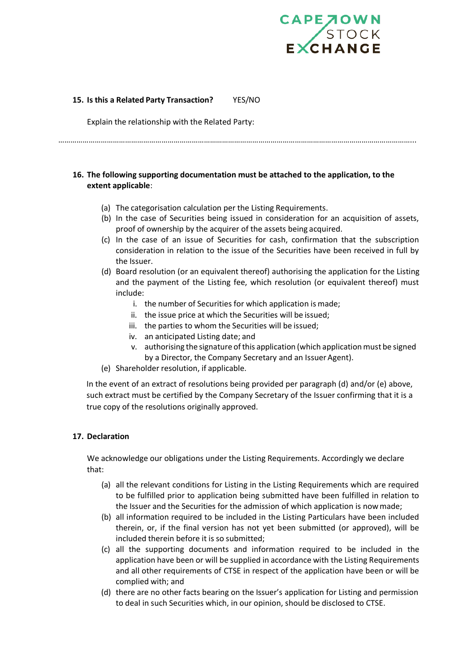

## **15. Is this a Related Party Transaction?** YES/NO

Explain the relationship with the Related Party:

…………………………………………………………………………………………………………………………………………………………...

## **16. The following supporting documentation must be attached to the application, to the extent applicable**:

- (a) The categorisation calculation per the Listing Requirements.
- (b) In the case of Securities being issued in consideration for an acquisition of assets, proof of ownership by the acquirer of the assets being acquired.
- (c) In the case of an issue of Securities for cash, confirmation that the subscription consideration in relation to the issue of the Securities have been received in full by the Issuer.
- (d) Board resolution (or an equivalent thereof) authorising the application for the Listing and the payment of the Listing fee, which resolution (or equivalent thereof) must include:
	- i. the number of Securities for which application is made;
	- ii. the issue price at which the Securities will be issued;
	- iii. the parties to whom the Securities will be issued;
	- iv. an anticipated Listing date; and
	- v. authorising the signature ofthis application (which applicationmust be signed by a Director, the Company Secretary and an Issuer Agent).
- (e) Shareholder resolution, if applicable.

In the event of an extract of resolutions being provided per paragraph (d) and/or (e) above, such extract must be certified by the Company Secretary of the Issuer confirming that it is a true copy of the resolutions originally approved.

## **17. Declaration**

We acknowledge our obligations under the Listing Requirements. Accordingly we declare that:

- (a) all the relevant conditions for Listing in the Listing Requirements which are required to be fulfilled prior to application being submitted have been fulfilled in relation to the Issuer and the Securities for the admission of which application is nowmade;
- (b) all information required to be included in the Listing Particulars have been included therein, or, if the final version has not yet been submitted (or approved), will be included therein before it is so submitted;
- (c) all the supporting documents and information required to be included in the application have been or will be supplied in accordance with the Listing Requirements and all other requirements of CTSE in respect of the application have been or will be complied with; and
- (d) there are no other facts bearing on the Issuer's application for Listing and permission to deal in such Securities which, in our opinion, should be disclosed to CTSE.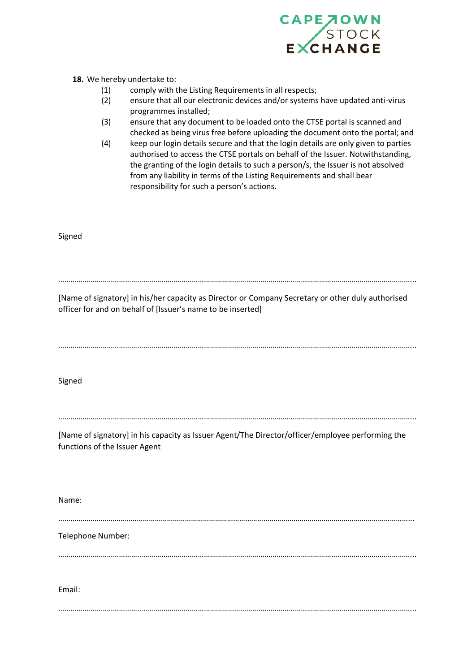

## **18.** We hereby undertake to:

- (1) comply with the Listing Requirements in all respects;
- (2) ensure that all our electronic devices and/or systems have updated anti-virus programmes installed;
- (3) ensure that any document to be loaded onto the CTSE portal is scanned and checked as being virus free before uploading the document onto the portal; and
- (4) keep our login details secure and that the login details are only given to parties authorised to access the CTSE portals on behalf of the Issuer. Notwithstanding, the granting of the login details to such a person/s, the Issuer is not absolved from any liability in terms of the Listing Requirements and shall bear responsibility for such a person's actions.

Signed

…………………………………………………………………………………………………………………………………………………………...

[Name of signatory] in his/her capacity as Director or Company Secretary or other duly authorised officer for and on behalf of [Issuer's name to be inserted]

…………………………………………………………………………………………………………………………………………………………...

Signed

. The contract of the contract of the contract of the contract of the contract of the contract of the contract of the contract of the contract of the contract of the contract of the contract of the contract of the contrac

[Name of signatory] in his capacity as Issuer Agent/The Director/officer/employee performing the functions of the Issuer Agent

Name:

…………………………………………………………………………………………………………………………………………………………...

Telephone Number:

…………………………………………………………………………………………………………………………………………………………...

Email:

…………………………………………………………………………………………………………………………………………………………...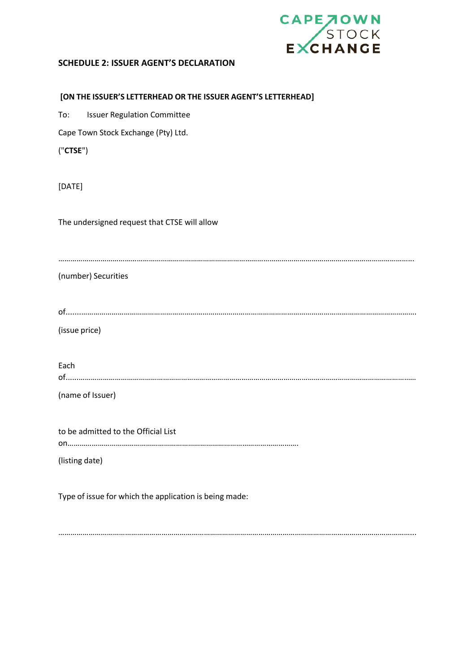

# **SCHEDULE 2: ISSUER AGENT'S DECLARATION**

|          | [ON THE ISSUER'S LETTERHEAD OR THE ISSUER AGENT'S LETTERHEAD] |
|----------|---------------------------------------------------------------|
| To:      | <b>Issuer Regulation Committee</b>                            |
|          | Cape Town Stock Exchange (Pty) Ltd.                           |
| ('CTSE") |                                                               |
| [DATE]   |                                                               |
|          | The undersigned request that CTSE will allow                  |
|          | (number) Securities                                           |
|          |                                                               |
|          | (issue price)                                                 |
| Each     |                                                               |
|          | (name of Issuer)                                              |
|          | to be admitted to the Official List                           |
|          | (listing date)                                                |
|          | Type of issue for which the application is being made:        |

…………………………………………………………………………………………………………………………………………………………...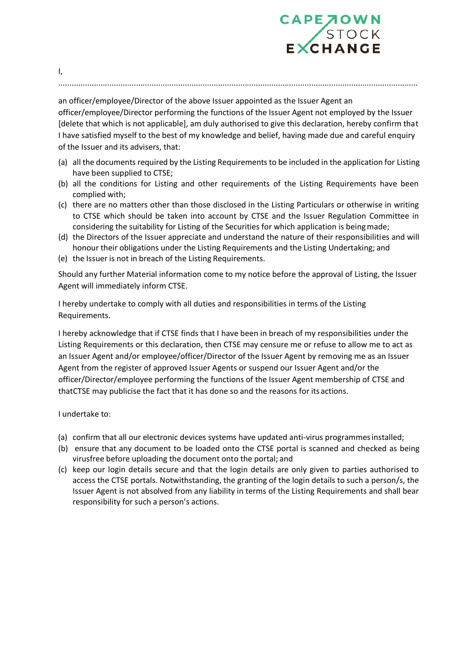

an officer/employee/Director of the above Issuer appointed as the Issuer Agent an officer/employee/Director performing the functions of the Issuer Agent not employed by the Issuer [delete that which is not applicable], am duly authorised to give this declaration, hereby confirm that I have satisfied myself to the best of my knowledge and belief, having made due and careful enquiry of the Issuer and its advisers, that:

..................................................................................................................................................................

- (a) all the documents required by the Listing Requirementsto be included in the application for Listing have been supplied to CTSE;
- (b) all the conditions for Listing and other requirements of the Listing Requirements have been complied with;
- (c) there are no matters other than those disclosed in the Listing Particulars or otherwise in writing to CTSE which should be taken into account by CTSE and the Issuer Regulation Committee in considering the suitability for Listing of the Securities for which application is beingmade;
- (d) the Directors of the Issuer appreciate and understand the nature of their responsibilities and will honour their obligations under the Listing Requirements and the Listing Undertaking; and
- (e) the Issuer is not in breach of the Listing Requirements.

Should any further Material information come to my notice before the approval of Listing, the Issuer Agent will immediately inform CTSE.

I hereby undertake to comply with all duties and responsibilities in terms of the Listing Requirements.

I hereby acknowledge that if CTSE finds that I have been in breach of my responsibilities under the Listing Requirements or this declaration, then CTSE may censure me or refuse to allow me to act as an Issuer Agent and/or employee/officer/Director of the Issuer Agent by removing me as an Issuer Agent from the register of approved Issuer Agents or suspend our Issuer Agent and/or the officer/Director/employee performing the functions of the Issuer Agent membership of CTSE and thatCTSE may publicise the fact that it has done so and the reasons for its actions.

I undertake to:

- (a) confirm that all our electronic devices systems have updated anti-virus programmesinstalled;
- (b) ensure that any document to be loaded onto the CTSE portal is scanned and checked as being virusfree before uploading the document onto the portal; and
- (c) keep our login details secure and that the login details are only given to parties authorised to access the CTSE portals. Notwithstanding, the granting of the login details to such a person/s, the Issuer Agent is not absolved from any liability in terms of the Listing Requirements and shall bear responsibility for such a person's actions.

I,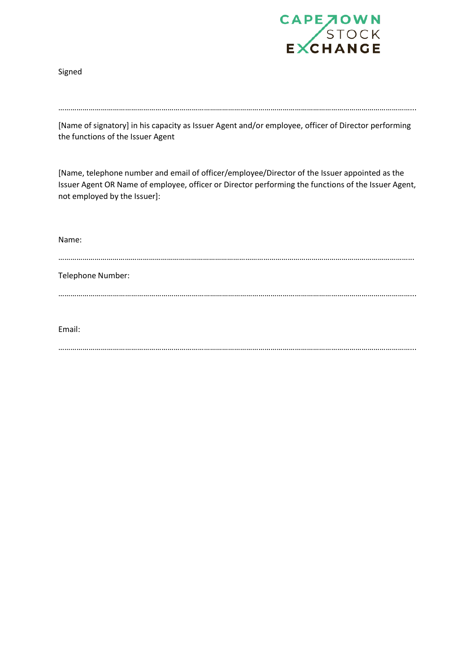

Signed

[Name of signatory] in his capacity as Issuer Agent and/or employee, officer of Director performing the functions of the Issuer Agent

[Name, telephone number and email of officer/employee/Director of the Issuer appointed as the Issuer Agent OR Name of employee, officer or Director performing the functions of the Issuer Agent, not employed by the Issuer]:

| Name:             |  |  |
|-------------------|--|--|
| Telephone Number: |  |  |
| <br>Email:        |  |  |

…………………………………………………………………………………………………………………………………………………………...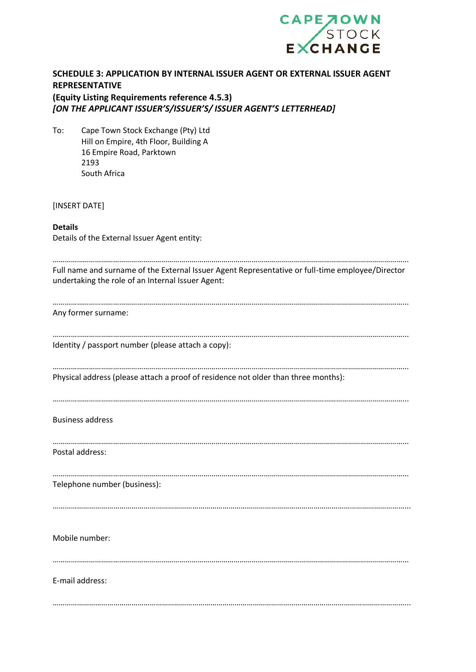

|                | SCHEDULE 3: APPLICATION BY INTERNAL ISSUER AGENT OR EXTERNAL ISSUER AGENT<br><b>REPRESENTATIVE</b><br>(Equity Listing Requirements reference 4.5.3)<br>[ON THE APPLICANT ISSUER'S/ISSUER'S/ ISSUER AGENT'S LETTERHEAD] |
|----------------|------------------------------------------------------------------------------------------------------------------------------------------------------------------------------------------------------------------------|
| To:            | Cape Town Stock Exchange (Pty) Ltd<br>Hill on Empire, 4th Floor, Building A<br>16 Empire Road, Parktown<br>2193<br>South Africa                                                                                        |
|                | [INSERT DATE]                                                                                                                                                                                                          |
| <b>Details</b> | Details of the External Issuer Agent entity:                                                                                                                                                                           |
|                | Full name and surname of the External Issuer Agent Representative or full-time employee/Director<br>undertaking the role of an Internal Issuer Agent:                                                                  |
|                | Any former surname:                                                                                                                                                                                                    |
|                | Identity / passport number (please attach a copy):                                                                                                                                                                     |
|                | Physical address (please attach a proof of residence not older than three months):                                                                                                                                     |
|                | <b>Business address</b>                                                                                                                                                                                                |

Postal address:

…………………………………………………………………………………………………………………………………………………………... Telephone number (business):

…………………………………………………………………………………………………………………………………………………………...

…………………………………………………………………………………………………………………………………………………………...

Mobile number:

…………………………………………………………………………………………………………………………………………………………...

…………………………………………………………………………………………………………………………………………………………...

E-mail address: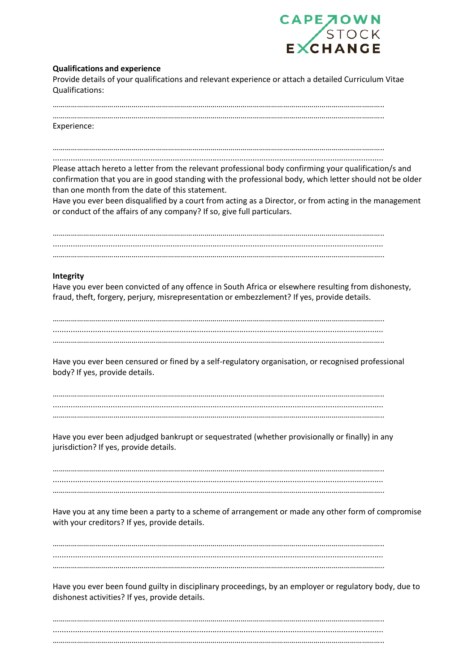

#### **Qualifications and experience**

Provide details of your qualifications and relevant experience or attach a detailed Curriculum Vitae Qualifications:

………………………………………………………………………………………………………………………………………………..

………………………………………………………………………………………………………………………………………………..

Experience:

………………………………………………………………………………………………………………………………………………..

.....................................................................................................................................................

Please attach hereto a letter from the relevant professional body confirming your qualification/s and confirmation that you are in good standing with the professional body, which letter should not be older than one month from the date of this statement.

Have you ever been disqualified by a court from acting as a Director, or from acting in the management or conduct of the affairs of any company? If so, give full particulars.

……………………………………………………………………………………………………………………………………………….. ..................................................................................................................................................... ………………………………………………………………………………………………………………………………………………..

#### **Integrity**

Have you ever been convicted of any offence in South Africa or elsewhere resulting from dishonesty, fraud, theft, forgery, perjury, misrepresentation or embezzlement? If yes, provide details.

……………………………………………………………………………………………………………………………………………….. ..................................................................................................................................................... ………………………………………………………………………………………………………………………………………………..

Have you ever been censured or fined by a self-regulatory organisation, or recognised professional body? If yes, provide details.

……………………………………………………………………………………………………………………………………………….. ..................................................................................................................................................... ………………………………………………………………………………………………………………………………………………..

Have you ever been adjudged bankrupt or sequestrated (whether provisionally or finally) in any jurisdiction? If yes, provide details.

……………………………………………………………………………………………………………………………………………….. ..................................................................................................................................................... ………………………………………………………………………………………………………………………………………………..

Have you at any time been a party to a scheme of arrangement or made any other form of compromise with your creditors? If yes, provide details.

……………………………………………………………………………………………………………………………………………….. ..................................................................................................................................................... ………………………………………………………………………………………………………………………………………………..

Have you ever been found guilty in disciplinary proceedings, by an employer or regulatory body, due to dishonest activities? If yes, provide details.

……………………………………………………………………………………………………………………………………………….. ..................................................................................................................................................... ………………………………………………………………………………………………………………………………………………..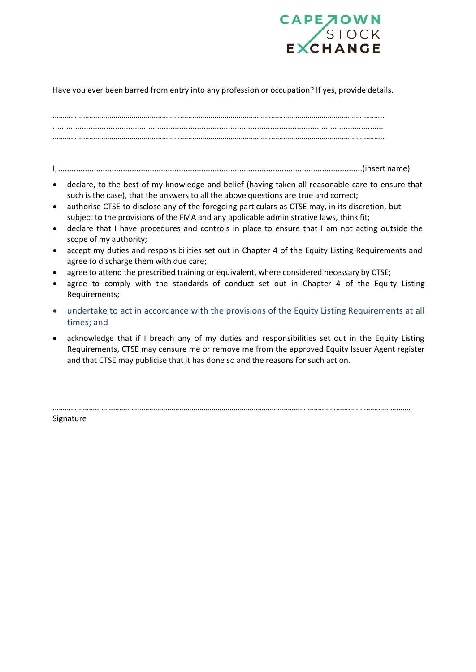

## Have you ever been barred from entry into any profession or occupation? If yes, provide details.

……………………………………………………………………………………………………………………………………………….. ..................................................................................................................................................... ………………………………………………………………………………………………………………………………………………..

I,........................................................................................................................................(insert name)

- declare, to the best of my knowledge and belief (having taken all reasonable care to ensure that such is the case), that the answers to all the above questions are true and correct;
- authorise CTSE to disclose any of the foregoing particulars as CTSE may, in its discretion, but subject to the provisions of the FMA and any applicable administrative laws, think fit;
- declare that I have procedures and controls in place to ensure that I am not acting outside the scope of my authority;
- accept my duties and responsibilities set out in Chapter 4 of the Equity Listing Requirements and agree to discharge them with due care;
- agree to attend the prescribed training or equivalent, where considered necessary by CTSE;
- agree to comply with the standards of conduct set out in Chapter 4 of the Equity Listing Requirements;
- undertake to act in accordance with the provisions of the Equity Listing Requirements at all times; and
- acknowledge that if I breach any of my duties and responsibilities set out in the Equity Listing Requirements, CTSE may censure me or remove me from the approved Equity Issuer Agent register and that CTSE may publicise that it has done so and the reasons for such action.

…………………………………………………………………………………………………………………………………………………………….

Signature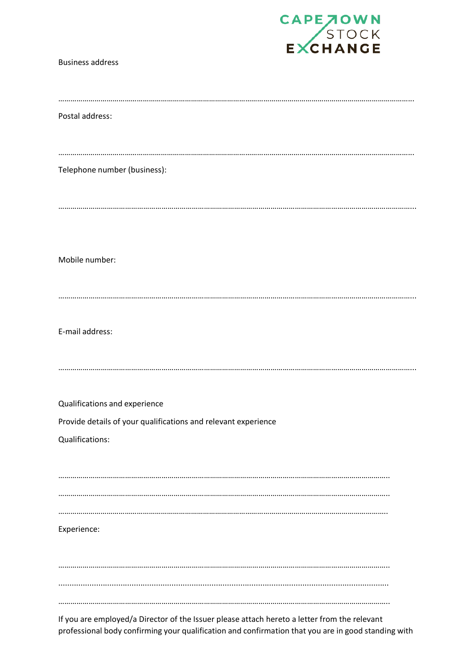

| <b>Business address</b>                                        |
|----------------------------------------------------------------|
| Postal address:                                                |
| Telephone number (business):                                   |
| Mobile number:                                                 |
|                                                                |
| E-mail address:                                                |
| Qualifications and experience                                  |
| Provide details of your qualifications and relevant experience |
| Qualifications:                                                |
|                                                                |
| Experience:                                                    |
|                                                                |
|                                                                |
|                                                                |

If you are employed/a Director of the Issuer please attach hereto a letter from the relevant professional body confirming your qualification and confirmation that you are in good standing with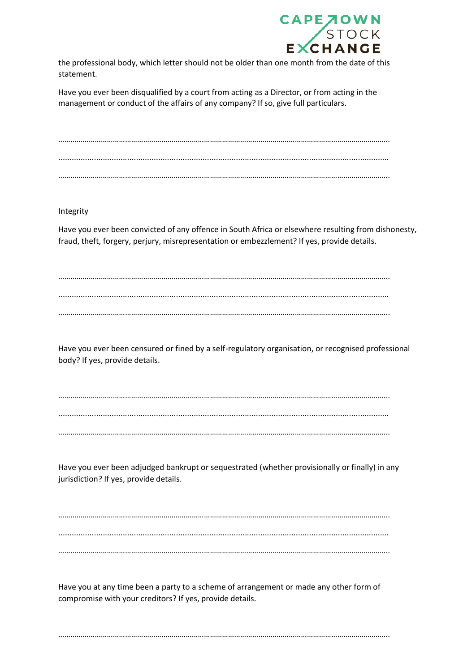

the professional body, which letter should not be older than one month from the date of this statement.

Have you ever been disqualified by a court from acting as a Director, or from acting in the management or conduct of the affairs of any company? If so, give full particulars.

……………………………………………………………………………………………………………………………………………….. ..................................................................................................................................................... ………………………………………………………………………………………………………………………………………………..

Integrity

Have you ever been convicted of any offence in South Africa or elsewhere resulting from dishonesty, fraud, theft, forgery, perjury, misrepresentation or embezzlement? If yes, provide details.

……………………………………………………………………………………………………………………………………………….. ..................................................................................................................................................... ………………………………………………………………………………………………………………………………………………..

Have you ever been censured or fined by a self-regulatory organisation, or recognised professional body? If yes, provide details.

……………………………………………………………………………………………………………………………………………….. ..................................................................................................................................................... ………………………………………………………………………………………………………………………………………………..

Have you ever been adjudged bankrupt or sequestrated (whether provisionally or finally) in any jurisdiction? If yes, provide details.

……………………………………………………………………………………………………………………………………………….. ..................................................................................................................................................... ………………………………………………………………………………………………………………………………………………..

Have you at any time been a party to a scheme of arrangement or made any other form of compromise with your creditors? If yes, provide details.

………………………………………………………………………………………………………………………………………………..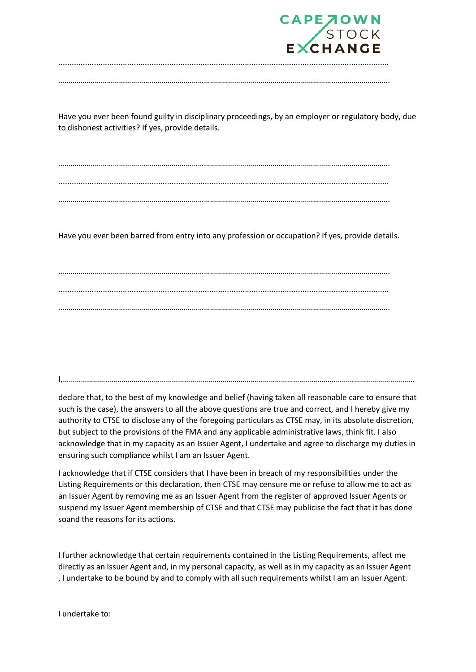

Have you ever been found guilty in disciplinary proceedings, by an employer or regulatory body, due to dishonest activities? If yes, provide details.

……………………………………………………………………………………………………………………………………………….. ..................................................................................................................................................... ………………………………………………………………………………………………………………………………………………..

Have you ever been barred from entry into any profession or occupation? If yes, provide details.

……………………………………………………………………………………………………………………………………………….. ..................................................................................................................................................... ………………………………………………………………………………………………………………………………………………..

I,…………………………………………………………………………………………………………………………………………………………

declare that, to the best of my knowledge and belief (having taken all reasonable care to ensure that such is the case), the answers to all the above questions are true and correct, and I hereby give my authority to CTSE to disclose any of the foregoing particulars as CTSE may, in its absolute discretion, but subject to the provisions of the FMA and any applicable administrative laws, think fit. I also acknowledge that in my capacity as an Issuer Agent, I undertake and agree to discharge my duties in ensuring such compliance whilst I am an Issuer Agent.

I acknowledge that if CTSE considers that I have been in breach of my responsibilities under the Listing Requirements or this declaration, then CTSE may censure me or refuse to allow me to act as an Issuer Agent by removing me as an Issuer Agent from the register of approved Issuer Agents or suspend my Issuer Agent membership of CTSE and that CTSE may publicise the fact that it has done soand the reasons for its actions.

I further acknowledge that certain requirements contained in the Listing Requirements, affect me directly as an Issuer Agent and, in my personal capacity, as well as in my capacity as an Issuer Agent , I undertake to be bound by and to comply with all such requirements whilst I am an Issuer Agent.

I undertake to: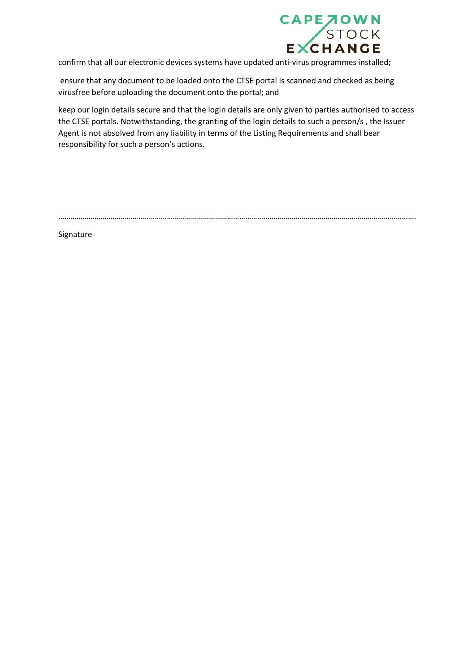

confirm that all our electronic devices systems have updated anti-virus programmes installed;

ensure that any document to be loaded onto the CTSE portal is scanned and checked as being virusfree before uploading the document onto the portal; and

keep our login details secure and that the login details are only given to parties authorised to access the CTSE portals. Notwithstanding, the granting of the login details to such a person/s , the Issuer Agent is not absolved from any liability in terms of the Listing Requirements and shall bear responsibility for such a person's actions.

…………………………………………………………………………………………………………………………………………………………….

Signature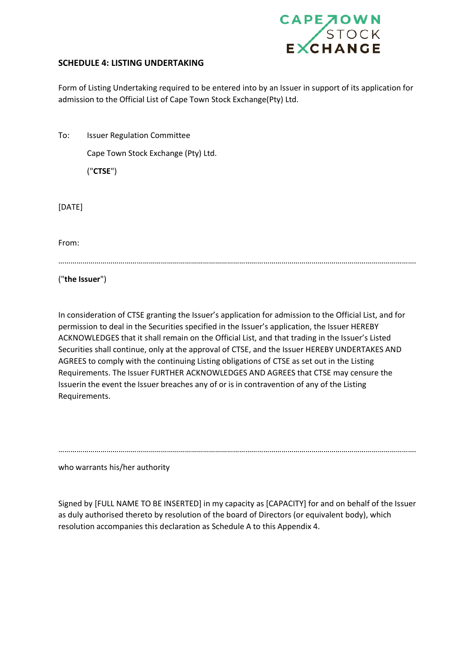

## **SCHEDULE 4: LISTING UNDERTAKING**

Form of Listing Undertaking required to be entered into by an Issuer in support of its application for admission to the Official List of Cape Town Stock Exchange(Pty) Ltd.

| To: | <b>Issuer Regulation Committee</b>  |
|-----|-------------------------------------|
|     | Cape Town Stock Exchange (Pty) Ltd. |

("**CTSE**")

[DATE]

From:

…………………………………………………………………………………………………………………………………………………………….

("**the Issuer**")

In consideration of CTSE granting the Issuer's application for admission to the Official List, and for permission to deal in the Securities specified in the Issuer's application, the Issuer HEREBY ACKNOWLEDGES that it shall remain on the Official List, and that trading in the Issuer's Listed Securities shall continue, only at the approval of CTSE, and the Issuer HEREBY UNDERTAKES AND AGREES to comply with the continuing Listing obligations of CTSE as set out in the Listing Requirements. The Issuer FURTHER ACKNOWLEDGES AND AGREES that CTSE may censure the Issuerin the event the Issuer breaches any of or is in contravention of any of the Listing Requirements.

…………………………………………………………………………………………………………………………………………………………….

who warrants his/her authority

Signed by [FULL NAME TO BE INSERTED] in my capacity as [CAPACITY] for and on behalf of the Issuer as duly authorised thereto by resolution of the board of Directors (or equivalent body), which resolution accompanies this declaration as Schedule A to this Appendix 4.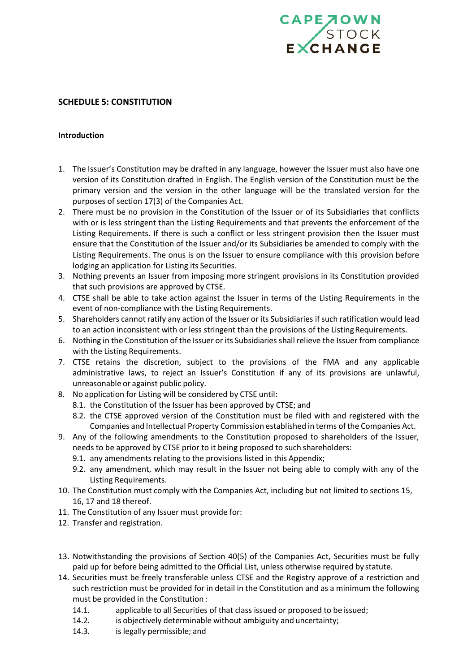

#### **SCHEDULE 5: CONSTITUTION**

#### **Introduction**

- 1. The Issuer's Constitution may be drafted in any language, however the Issuer must also have one version of its Constitution drafted in English. The English version of the Constitution must be the primary version and the version in the other language will be the translated version for the purposes of section 17(3) of the Companies Act.
- 2. There must be no provision in the Constitution of the Issuer or of its Subsidiaries that conflicts with or is less stringent than the Listing Requirements and that prevents the enforcement of the Listing Requirements. If there is such a conflict or less stringent provision then the Issuer must ensure that the Constitution of the Issuer and/or its Subsidiaries be amended to comply with the Listing Requirements. The onus is on the Issuer to ensure compliance with this provision before lodging an application for Listing its Securities.
- 3. Nothing prevents an Issuer from imposing more stringent provisions in its Constitution provided that such provisions are approved by CTSE.
- 4. CTSE shall be able to take action against the Issuer in terms of the Listing Requirements in the event of non-compliance with the Listing Requirements.
- 5. Shareholders cannot ratify any action of the Issuer or its Subsidiaries ifsuch ratification would lead to an action inconsistent with or less stringent than the provisions of the Listing Requirements.
- 6. Nothing in the Constitution of the Issuer or its Subsidiaries shall relieve the Issuer from compliance with the Listing Requirements.
- 7. CTSE retains the discretion, subject to the provisions of the FMA and any applicable administrative laws, to reject an Issuer's Constitution if any of its provisions are unlawful, unreasonable or against public policy.
- 8. No application for Listing will be considered by CTSE until:
	- 8.1. the Constitution of the Issuer has been approved by CTSE; and
	- 8.2. the CTSE approved version of the Constitution must be filed with and registered with the Companies and Intellectual Property Commission established in terms of the Companies Act.
- 9. Any of the following amendments to the Constitution proposed to shareholders of the Issuer, needs to be approved by CTSE prior to it being proposed to such shareholders:
	- 9.1. any amendments relating to the provisions listed in this Appendix;
	- 9.2. any amendment, which may result in the Issuer not being able to comply with any of the Listing Requirements.
- 10. The Constitution must comply with the Companies Act, including but not limited to sections 15, 16, 17 and 18 thereof.
- 11. The Constitution of any Issuer must provide for:
- 12. Transfer and registration.
- 13. Notwithstanding the provisions of Section 40(5) of the Companies Act, Securities must be fully paid up for before being admitted to the Official List, unless otherwise required by statute.
- 14. Securities must be freely transferable unless CTSE and the Registry approve of a restriction and such restriction must be provided for in detail in the Constitution and as a minimum the following must be provided in the Constitution :
	- 14.1. applicable to all Securities of that class issued or proposed to beissued;
	- 14.2. is objectively determinable without ambiguity and uncertainty;
	- 14.3. is legally permissible; and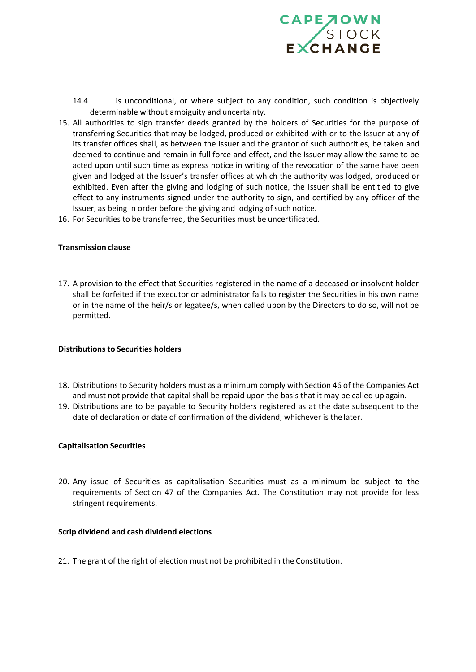

- 14.4. is unconditional, or where subject to any condition, such condition is objectively determinable without ambiguity and uncertainty.
- 15. All authorities to sign transfer deeds granted by the holders of Securities for the purpose of transferring Securities that may be lodged, produced or exhibited with or to the Issuer at any of its transfer offices shall, as between the Issuer and the grantor of such authorities, be taken and deemed to continue and remain in full force and effect, and the Issuer may allow the same to be acted upon until such time as express notice in writing of the revocation of the same have been given and lodged at the Issuer's transfer offices at which the authority was lodged, produced or exhibited. Even after the giving and lodging of such notice, the Issuer shall be entitled to give effect to any instruments signed under the authority to sign, and certified by any officer of the Issuer, as being in order before the giving and lodging of such notice.
- 16. For Securities to be transferred, the Securities must be uncertificated.

#### **Transmission clause**

17. A provision to the effect that Securities registered in the name of a deceased or insolvent holder shall be forfeited if the executor or administrator fails to register the Securities in his own name or in the name of the heir/s or legatee/s, when called upon by the Directors to do so, will not be permitted.

#### **Distributions to Securities holders**

- 18. Distributions to Security holders must as a minimum comply with Section 46 of the Companies Act and must not provide that capital shall be repaid upon the basis that it may be called up again.
- 19. Distributions are to be payable to Security holders registered as at the date subsequent to the date of declaration or date of confirmation of the dividend, whichever is the later.

#### **Capitalisation Securities**

20. Any issue of Securities as capitalisation Securities must as a minimum be subject to the requirements of Section 47 of the Companies Act. The Constitution may not provide for less stringent requirements.

#### **Scrip dividend and cash dividend elections**

21. The grant of the right of election must not be prohibited in the Constitution.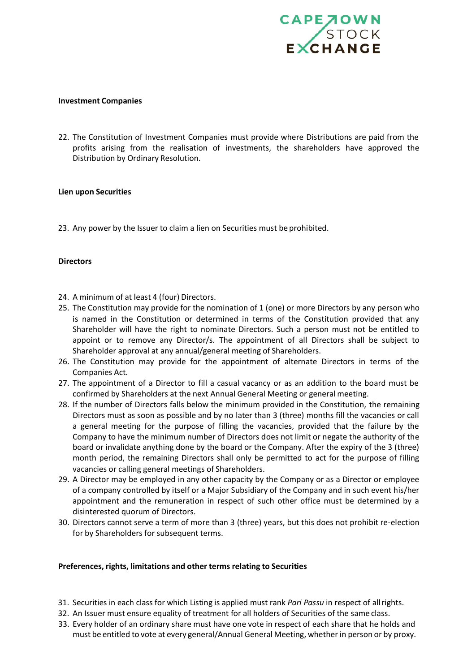

#### **Investment Companies**

22. The Constitution of Investment Companies must provide where Distributions are paid from the profits arising from the realisation of investments, the shareholders have approved the Distribution by Ordinary Resolution.

#### **Lien upon Securities**

23. Any power by the Issuer to claim a lien on Securities must be prohibited.

#### **Directors**

- 24. A minimum of at least 4 (four) Directors.
- 25. The Constitution may provide for the nomination of 1 (one) or more Directors by any person who is named in the Constitution or determined in terms of the Constitution provided that any Shareholder will have the right to nominate Directors. Such a person must not be entitled to appoint or to remove any Director/s. The appointment of all Directors shall be subject to Shareholder approval at any annual/general meeting of Shareholders.
- 26. The Constitution may provide for the appointment of alternate Directors in terms of the Companies Act.
- 27. The appointment of a Director to fill a casual vacancy or as an addition to the board must be confirmed by Shareholders at the next Annual General Meeting or general meeting.
- 28. If the number of Directors falls below the minimum provided in the Constitution, the remaining Directors must as soon as possible and by no later than 3 (three) months fill the vacancies or call a general meeting for the purpose of filling the vacancies, provided that the failure by the Company to have the minimum number of Directors does not limit or negate the authority of the board or invalidate anything done by the board or the Company. After the expiry of the 3 (three) month period, the remaining Directors shall only be permitted to act for the purpose of filling vacancies or calling general meetings of Shareholders.
- 29. A Director may be employed in any other capacity by the Company or as a Director or employee of a company controlled by itself or a Major Subsidiary of the Company and in such event his/her appointment and the remuneration in respect of such other office must be determined by a disinterested quorum of Directors.
- 30. Directors cannot serve a term of more than 3 (three) years, but this does not prohibit re-election for by Shareholders for subsequent terms.

#### **Preferences, rights, limitations and other terms relating to Securities**

- 31. Securities in each class for which Listing is applied must rank *Pari Passu* in respect of allrights.
- 32. An Issuer must ensure equality of treatment for all holders of Securities of the same class.
- 33. Every holder of an ordinary share must have one vote in respect of each share that he holds and must be entitled to vote at every general/Annual General Meeting, whether in person or by proxy.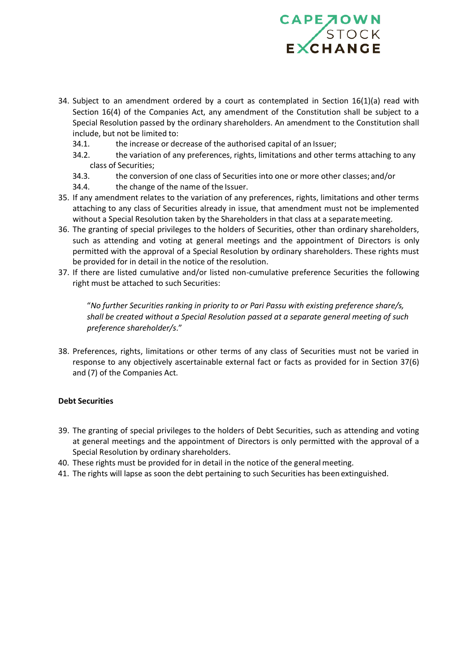

- 34. Subject to an amendment ordered by a court as contemplated in Section  $16(1)(a)$  read with Section 16(4) of the Companies Act, any amendment of the Constitution shall be subject to a Special Resolution passed by the ordinary shareholders. An amendment to the Constitution shall include, but not be limited to:
	- 34.1. the increase or decrease of the authorised capital of an Issuer;
	- 34.2. the variation of any preferences, rights, limitations and other terms attaching to any class of Securities;
	- 34.3. the conversion of one class of Securities into one or more other classes; and/or
	- 34.4. the change of the name of the Issuer.
- 35. If any amendment relates to the variation of any preferences, rights, limitations and other terms attaching to any class of Securities already in issue, that amendment must not be implemented without a Special Resolution taken by the Shareholders in that class at a separatemeeting.
- 36. The granting of special privileges to the holders of Securities, other than ordinary shareholders, such as attending and voting at general meetings and the appointment of Directors is only permitted with the approval of a Special Resolution by ordinary shareholders. These rights must be provided for in detail in the notice of the resolution.
- 37. If there are listed cumulative and/or listed non-cumulative preference Securities the following right must be attached to such Securities:

"*No further Securities ranking in priority to or Pari Passu with existing preference share/s, shall be created without a Special Resolution passed at a separate general meeting of such preference shareholder/s*."

38. Preferences, rights, limitations or other terms of any class of Securities must not be varied in response to any objectively ascertainable external fact or facts as provided for in Section 37(6) and (7) of the Companies Act.

#### **Debt Securities**

- 39. The granting of special privileges to the holders of Debt Securities, such as attending and voting at general meetings and the appointment of Directors is only permitted with the approval of a Special Resolution by ordinary shareholders.
- 40. These rights must be provided for in detail in the notice of the general meeting.
- 41. The rights will lapse as soon the debt pertaining to such Securities has been extinguished.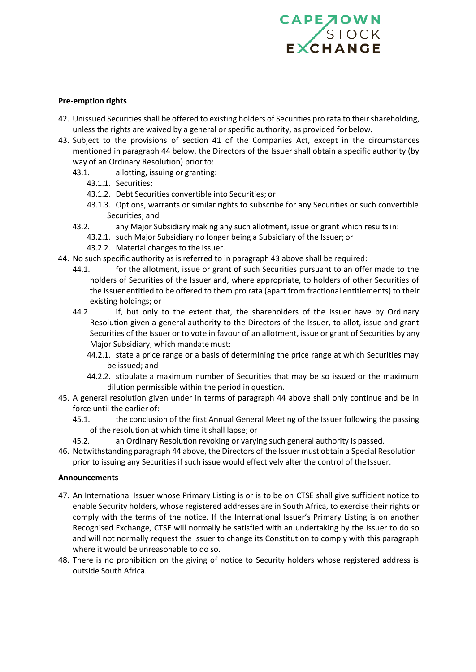# CAPE TOWN

#### **Pre-emption rights**

- 42. Unissued Securities shall be offered to existing holders of Securities pro rata to their shareholding, unless the rights are waived by a general or specific authority, as provided for below.
- 43. Subject to the provisions of section 41 of the Companies Act, except in the circumstances mentioned in paragraph 44 below, the Directors of the Issuer shall obtain a specific authority (by way of an Ordinary Resolution) prior to:
	- 43.1. allotting, issuing or granting:
		- 43.1.1. Securities;
		- 43.1.2. Debt Securities convertible into Securities; or
		- 43.1.3. Options, warrants or similar rights to subscribe for any Securities or such convertible Securities; and
	- 43.2. any Major Subsidiary making any such allotment, issue or grant which resultsin:
		- 43.2.1. such Major Subsidiary no longer being a Subsidiary of the Issuer; or
		- 43.2.2. Material changes to the Issuer.
- 44. No such specific authority as is referred to in paragraph 43 above shall be required:
	- 44.1. for the allotment, issue or grant of such Securities pursuant to an offer made to the holders of Securities of the Issuer and, where appropriate, to holders of other Securities of the Issuer entitled to be offered to them pro rata (apart from fractional entitlements) to their existing holdings; or
	- 44.2. if, but only to the extent that, the shareholders of the Issuer have by Ordinary Resolution given a general authority to the Directors of the Issuer, to allot, issue and grant Securities of the Issuer or to vote in favour of an allotment, issue or grant of Securities by any Major Subsidiary, which mandate must:
		- 44.2.1. state a price range or a basis of determining the price range at which Securities may be issued; and
		- 44.2.2. stipulate a maximum number of Securities that may be so issued or the maximum dilution permissible within the period in question.
- 45. A general resolution given under in terms of paragraph 44 above shall only continue and be in force until the earlier of:
	- 45.1. the conclusion of the first Annual General Meeting of the Issuer following the passing of the resolution at which time it shall lapse; or
	- 45.2. an Ordinary Resolution revoking or varying such general authority is passed.
- 46. Notwithstanding paragraph 44 above, the Directors of the Issuer must obtain a Special Resolution prior to issuing any Securities if such issue would effectively alter the control of the Issuer.

#### **Announcements**

- 47. An International Issuer whose Primary Listing is or is to be on CTSE shall give sufficient notice to enable Security holders, whose registered addresses are in South Africa, to exercise their rights or comply with the terms of the notice. If the International Issuer's Primary Listing is on another Recognised Exchange, CTSE will normally be satisfied with an undertaking by the Issuer to do so and will not normally request the Issuer to change its Constitution to comply with this paragraph where it would be unreasonable to do so.
- 48. There is no prohibition on the giving of notice to Security holders whose registered address is outside South Africa.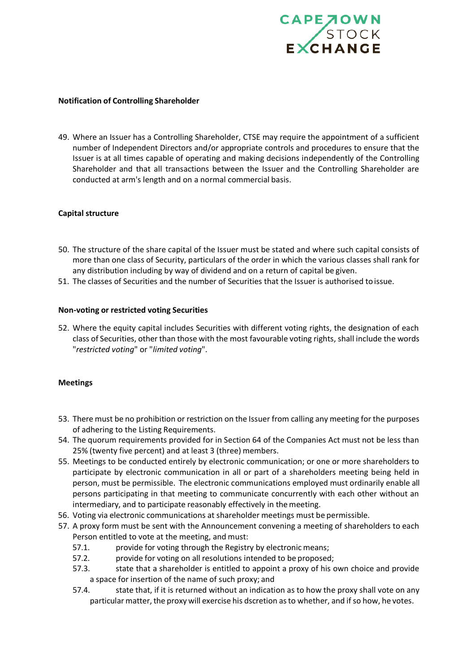

#### **Notification of Controlling Shareholder**

49. Where an Issuer has a Controlling Shareholder, CTSE may require the appointment of a sufficient number of Independent Directors and/or appropriate controls and procedures to ensure that the Issuer is at all times capable of operating and making decisions independently of the Controlling Shareholder and that all transactions between the Issuer and the Controlling Shareholder are conducted at arm's length and on a normal commercial basis.

#### **Capital structure**

- 50. The structure of the share capital of the Issuer must be stated and where such capital consists of more than one class of Security, particulars of the order in which the various classes shall rank for any distribution including by way of dividend and on a return of capital be given.
- 51. The classes of Securities and the number of Securities that the Issuer is authorised toissue.

#### **Non-voting or restricted voting Securities**

52. Where the equity capital includes Securities with different voting rights, the designation of each class of Securities, other than those with the most favourable voting rights, shall include the words "*restricted voting*" or "*limited voting*".

#### **Meetings**

- 53. There must be no prohibition or restriction on the Issuer from calling any meeting for the purposes of adhering to the Listing Requirements.
- 54. The quorum requirements provided for in Section 64 of the Companies Act must not be less than 25% (twenty five percent) and at least 3 (three) members.
- 55. Meetings to be conducted entirely by electronic communication; or one or more shareholders to participate by electronic communication in all or part of a shareholders meeting being held in person, must be permissible. The electronic communications employed must ordinarily enable all persons participating in that meeting to communicate concurrently with each other without an intermediary, and to participate reasonably effectively in themeeting.
- 56. Voting via electronic communications at shareholder meetings must be permissible.
- 57. A proxy form must be sent with the Announcement convening a meeting of shareholders to each Person entitled to vote at the meeting, and must:
	- 57.1. provide for voting through the Registry by electronic means;
	- 57.2. provide for voting on all resolutions intended to be proposed;
	- 57.3. state that a shareholder is entitled to appoint a proxy of his own choice and provide a space for insertion of the name of such proxy; and
	- 57.4. state that, if it is returned without an indication as to how the proxy shall vote on any particular matter, the proxy will exercise his dscretion as to whether, and if so how, he votes.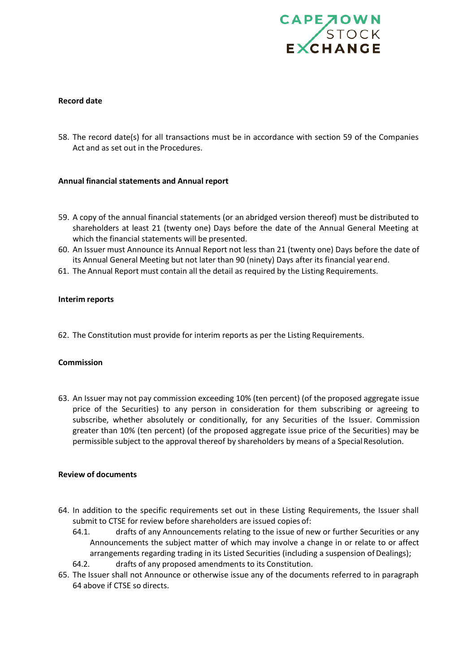

#### **Record date**

58. The record date(s) for all transactions must be in accordance with section 59 of the Companies Act and as set out in the Procedures.

#### **Annual financial statements and Annual report**

- 59. A copy of the annual financial statements (or an abridged version thereof) must be distributed to shareholders at least 21 (twenty one) Days before the date of the Annual General Meeting at which the financial statements will be presented.
- 60. An Issuer must Announce its Annual Report not less than 21 (twenty one) Days before the date of its Annual General Meeting but not later than 90 (ninety) Days after its financial year end.
- 61. The Annual Report must contain all the detail as required by the Listing Requirements.

#### **Interim reports**

62. The Constitution must provide for interim reports as per the Listing Requirements.

#### **Commission**

63. An Issuer may not pay commission exceeding 10% (ten percent) (of the proposed aggregate issue price of the Securities) to any person in consideration for them subscribing or agreeing to subscribe, whether absolutely or conditionally, for any Securities of the Issuer. Commission greater than 10% (ten percent) (of the proposed aggregate issue price of the Securities) may be permissible subject to the approval thereof by shareholders by means of a Special Resolution.

#### **Review of documents**

- 64. In addition to the specific requirements set out in these Listing Requirements, the Issuer shall submit to CTSE for review before shareholders are issued copies of:
	- 64.1. drafts of any Announcements relating to the issue of new or further Securities or any Announcements the subject matter of which may involve a change in or relate to or affect arrangements regarding trading in its Listed Securities (including a suspension of Dealings);
	- 64.2. drafts of any proposed amendments to its Constitution.
- 65. The Issuer shall not Announce or otherwise issue any of the documents referred to in paragraph 64 above if CTSE so directs.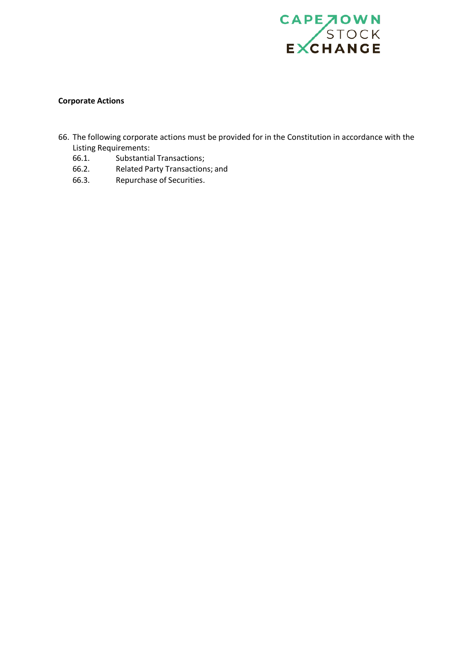

#### **Corporate Actions**

- 66. The following corporate actions must be provided for in the Constitution in accordance with the
	- Listing Requirements:<br>66.1. Substantia Substantial Transactions;
	- 66.2. Related Party Transactions; and<br>66.3. Repurchase of Securities.
	- Repurchase of Securities.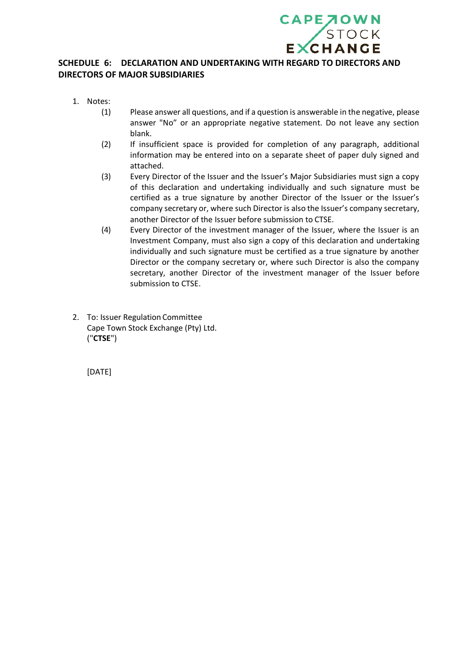

# **SCHEDULE 6: DECLARATION AND UNDERTAKING WITH REGARD TO DIRECTORS AND DIRECTORS OF MAJOR SUBSIDIARIES**

- 1. Notes:
	- (1) Please answer all questions, and if a question is answerable in the negative, please answer "No" or an appropriate negative statement. Do not leave any section blank.
	- (2) If insufficient space is provided for completion of any paragraph, additional information may be entered into on a separate sheet of paper duly signed and attached.
	- (3) Every Director of the Issuer and the Issuer's Major Subsidiaries must sign a copy of this declaration and undertaking individually and such signature must be certified as a true signature by another Director of the Issuer or the Issuer's company secretary or, where such Director is also the Issuer's company secretary, another Director of the Issuer before submission to CTSE.
	- (4) Every Director of the investment manager of the Issuer, where the Issuer is an Investment Company, must also sign a copy of this declaration and undertaking individually and such signature must be certified as a true signature by another Director or the company secretary or, where such Director is also the company secretary, another Director of the investment manager of the Issuer before submission to CTSE.
- 2. To: Issuer Regulation Committee Cape Town Stock Exchange (Pty) Ltd. ("**CTSE**")

[DATE]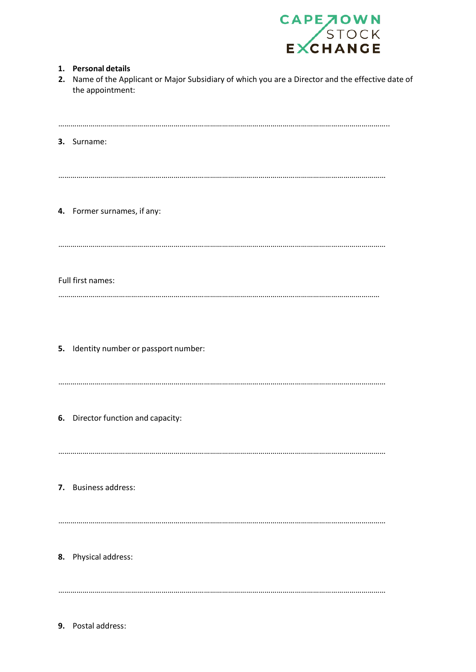

| 2. | 1. Personal details<br>Name of the Applicant or Major Subsidiary of which you are a Director and the effective date of<br>the appointment: |
|----|--------------------------------------------------------------------------------------------------------------------------------------------|
|    | 3. Surname:                                                                                                                                |
|    | 4. Former surnames, if any:                                                                                                                |
|    | Full first names:                                                                                                                          |
|    | 5. Identity number or passport number:                                                                                                     |
|    | 6. Director function and capacity:                                                                                                         |
|    | 7. Business address:                                                                                                                       |
|    | 8. Physical address:                                                                                                                       |
|    |                                                                                                                                            |

**9.** Postal address: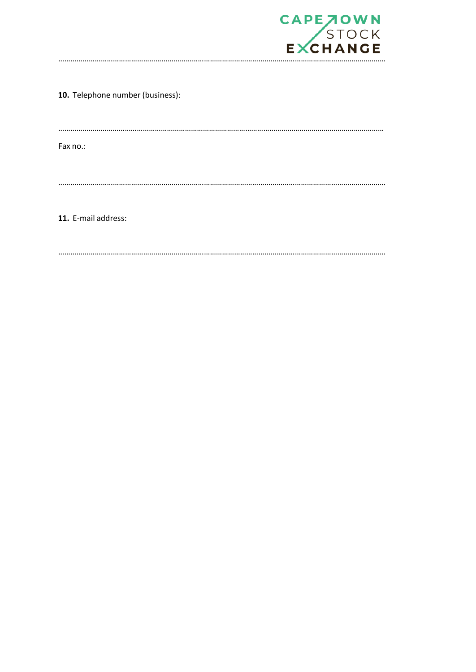

10. Telephone number (business):

...................................

Fax no.:

11. E-mail address: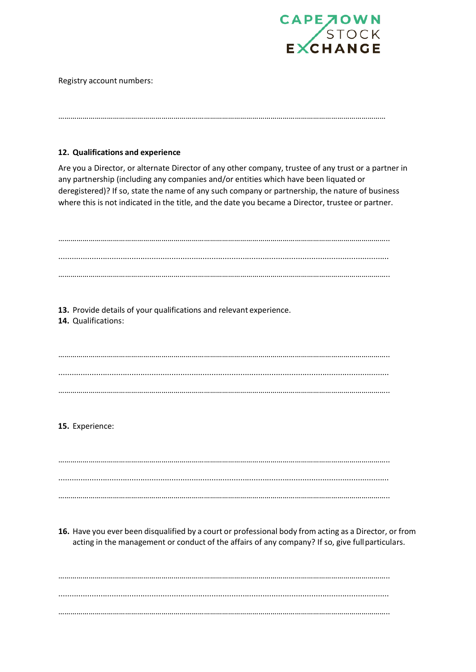

Registry account numbers:

#### **12. Qualifications and experience**

Are you a Director, or alternate Director of any other company, trustee of any trust or a partner in any partnership (including any companies and/or entities which have been liquated or deregistered)? If so, state the name of any such company or partnership, the nature of business where this is not indicated in the title, and the date you became a Director, trustee or partner.

………………………………………………………………………………………………………………………………………………

|                 | 13. Provide details of your qualifications and relevant experience.<br>14. Qualifications:                                                                                                                 |
|-----------------|------------------------------------------------------------------------------------------------------------------------------------------------------------------------------------------------------------|
|                 |                                                                                                                                                                                                            |
|                 |                                                                                                                                                                                                            |
|                 |                                                                                                                                                                                                            |
|                 |                                                                                                                                                                                                            |
|                 |                                                                                                                                                                                                            |
| 15. Experience: |                                                                                                                                                                                                            |
|                 |                                                                                                                                                                                                            |
|                 |                                                                                                                                                                                                            |
|                 |                                                                                                                                                                                                            |
|                 |                                                                                                                                                                                                            |
|                 |                                                                                                                                                                                                            |
|                 | 16. Have you ever been disqualified by a court or professional body from acting as a Director, or from<br>acting in the management or conduct of the affairs of any company? If so, give full particulars. |
|                 |                                                                                                                                                                                                            |
|                 |                                                                                                                                                                                                            |
|                 |                                                                                                                                                                                                            |
|                 |                                                                                                                                                                                                            |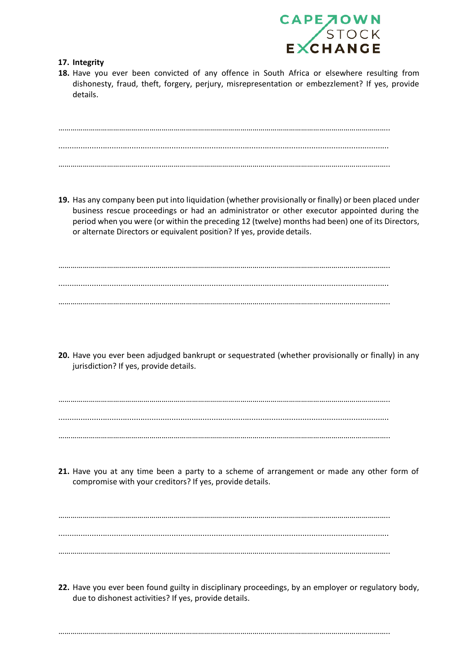

#### **17. Integrity**

**18.** Have you ever been convicted of any offence in South Africa or elsewhere resulting from dishonesty, fraud, theft, forgery, perjury, misrepresentation or embezzlement? If yes, provide details.

……………………………………………………………………………………………………………………………………………….. ..................................................................................................................................................... ………………………………………………………………………………………………………………………………………………..

**19.** Has any company been put into liquidation (whether provisionally or finally) or been placed under business rescue proceedings or had an administrator or other executor appointed during the period when you were (or within the preceding 12 (twelve) months had been) one of its Directors, or alternate Directors or equivalent position? If yes, provide details.

……………………………………………………………………………………………………………………………………………….. ..................................................................................................................................................... ………………………………………………………………………………………………………………………………………………..

**20.** Have you ever been adjudged bankrupt or sequestrated (whether provisionally or finally) in any jurisdiction? If yes, provide details.

……………………………………………………………………………………………………………………………………………….. ..................................................................................................................................................... ………………………………………………………………………………………………………………………………………………..

**21.** Have you at any time been a party to a scheme of arrangement or made any other form of compromise with your creditors? If yes, provide details.

……………………………………………………………………………………………………………………………………………….. ..................................................................................................................................................... ………………………………………………………………………………………………………………………………………………..

**22.** Have you ever been found guilty in disciplinary proceedings, by an employer or regulatory body, due to dishonest activities? If yes, provide details.

………………………………………………………………………………………………………………………………………………..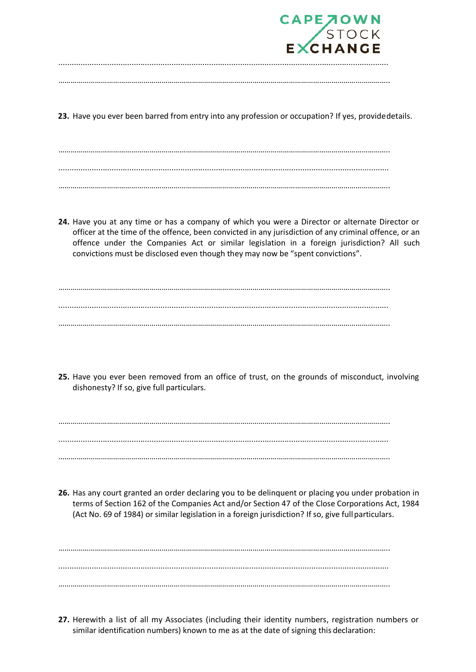

| _____ |  |
|-------|--|
|       |  |
|       |  |
|       |  |
|       |  |
|       |  |
|       |  |
|       |  |

**23.** Have you ever been barred from entry into any profession or occupation? If yes, providedetails.

………………………………………………………………………………………………………………………………………………..

……………………………………………………………………………………………………………………………………………….. ..................................................................................................................................................... ………………………………………………………………………………………………………………………………………………..

**24.** Have you at any time or has a company of which you were a Director or alternate Director or officer at the time of the offence, been convicted in any jurisdiction of any criminal offence, or an offence under the Companies Act or similar legislation in a foreign jurisdiction? All such convictions must be disclosed even though they may now be "spent convictions".

……………………………………………………………………………………………………………………………………………….. ..................................................................................................................................................... ………………………………………………………………………………………………………………………………………………..

**25.** Have you ever been removed from an office of trust, on the grounds of misconduct, involving dishonesty? If so, give full particulars.

……………………………………………………………………………………………………………………………………………….. ..................................................................................................................................................... ………………………………………………………………………………………………………………………………………………..

**26.** Has any court granted an order declaring you to be delinquent or placing you under probation in terms of Section 162 of the Companies Act and/or Section 47 of the Close Corporations Act, 1984 (Act No. 69 of 1984) or similar legislation in a foreign jurisdiction? If so, give fullparticulars.

……………………………………………………………………………………………………………………………………………….. ..................................................................................................................................................... ………………………………………………………………………………………………………………………………………………..

**27.** Herewith a list of all my Associates (including their identity numbers, registration numbers or similar identification numbers) known to me as at the date of signing this declaration: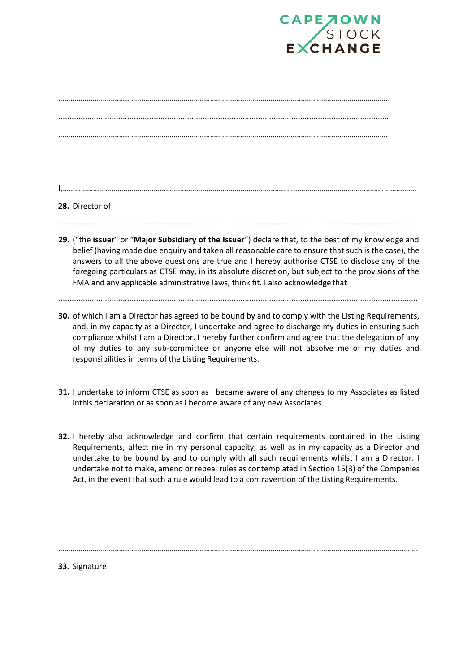

## I,………………………………………………………………………………………………………………………………………………………….

#### **28.** Director of

…………………………………………………………………………………………………………………………………………………………….

**29.** ("the **issuer**" or "**Major Subsidiary of the Issuer**") declare that, to the best of my knowledge and belief (having made due enquiry and taken all reasonable care to ensure that such is the case), the answers to all the above questions are true and I hereby authorise CTSE to disclose any of the foregoing particulars as CTSE may, in its absolute discretion, but subject to the provisions of the FMA and any applicable administrative laws, think fit. I also acknowledge that

#### ..................................................................................................................................................................

- **30.** of which I am a Director has agreed to be bound by and to comply with the Listing Requirements, and, in my capacity as a Director, I undertake and agree to discharge my duties in ensuring such compliance whilst I am a Director. I hereby further confirm and agree that the delegation of any of my duties to any sub-committee or anyone else will not absolve me of my duties and responsibilities in terms of the Listing Requirements.
- **31.** I undertake to inform CTSE as soon as I became aware of any changes to my Associates as listed inthis declaration or as soon as I become aware of any new Associates.
- **32.** I hereby also acknowledge and confirm that certain requirements contained in the Listing Requirements, affect me in my personal capacity, as well as in my capacity as a Director and undertake to be bound by and to comply with all such requirements whilst I am a Director. I undertake not to make, amend or repeal rules as contemplated in Section 15(3) of the Companies Act, in the event that such a rule would lead to a contravention of the Listing Requirements.

…………………………………………………………………………………………………………………………………………………………….

#### **33.** Signature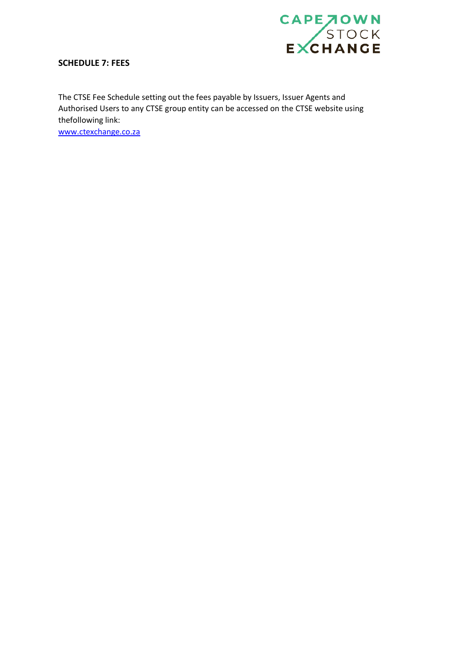

## **SCHEDULE 7: FEES**

The CTSE Fee Schedule setting out the fees payable by Issuers, Issuer Agents and Authorised Users to any CTSE group entity can be accessed on the CTSE website using thefollowing link:

[www.ctexchange.co.za](http://www.ctexchange.co.za/)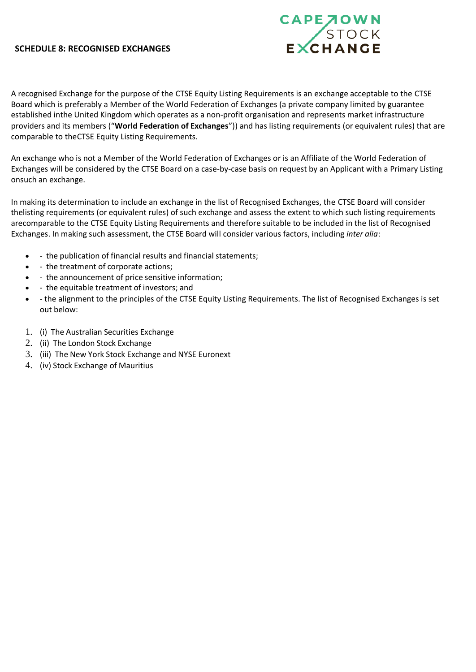#### **SCHEDULE 8: RECOGNISED EXCHANGES**



A recognised Exchange for the purpose of the CTSE Equity Listing Requirements is an exchange acceptable to the CTSE Board which is preferably a Member of the World Federation of Exchanges (a private company limited by guarantee established inthe United Kingdom which operates as a non-profit organisation and represents market infrastructure providers and its members ("**World Federation of Exchanges**")) and has listing requirements (or equivalent rules) that are comparable to theCTSE Equity Listing Requirements.

An exchange who is not a Member of the World Federation of Exchanges or is an Affiliate of the World Federation of Exchanges will be considered by the CTSE Board on a case-by-case basis on request by an Applicant with a Primary Listing onsuch an exchange.

In making its determination to include an exchange in the list of Recognised Exchanges, the CTSE Board will consider thelisting requirements (or equivalent rules) of such exchange and assess the extent to which such listing requirements arecomparable to the CTSE Equity Listing Requirements and therefore suitable to be included in the list of Recognised Exchanges. In making such assessment, the CTSE Board will consider various factors, including *inter alia*:

- - the publication of financial results and financial statements;
- - the treatment of corporate actions;
- - the announcement of price sensitive information;
- - the equitable treatment of investors; and
- - the alignment to the principles of the CTSE Equity Listing Requirements. The list of Recognised Exchanges is set out below:
- 1. (i) The Australian Securities Exchange
- 2. (ii) The London Stock Exchange
- 3. (iii) The New York Stock Exchange and NYSE Euronext
- 4. (iv) Stock Exchange of Mauritius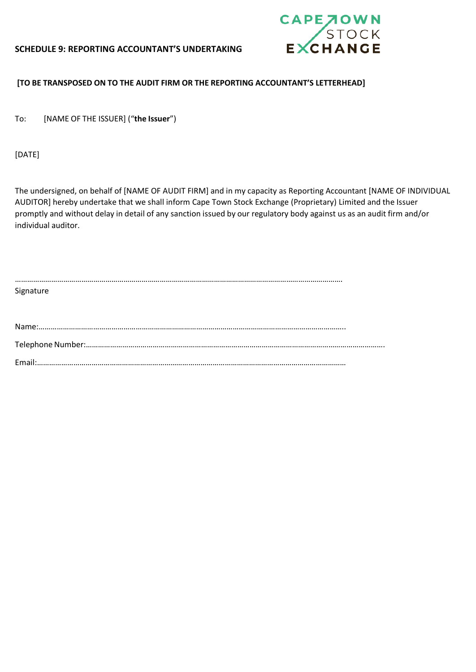## **SCHEDULE 9: REPORTING ACCOUNTANT'S UNDERTAKING**



## **[TO BE TRANSPOSED ON TO THE AUDIT FIRM OR THE REPORTING ACCOUNTANT'S LETTERHEAD]**

To: [NAME OF THE ISSUER] ("**the Issuer**")

[DATE]

The undersigned, on behalf of [NAME OF AUDIT FIRM] and in my capacity as Reporting Accountant [NAME OF INDIVIDUAL AUDITOR] hereby undertake that we shall inform Cape Town Stock Exchange (Proprietary) Limited and the Issuer promptly and without delay in detail of any sanction issued by our regulatory body against us as an audit firm and/or individual auditor.

| Signature |
|-----------|
|           |
|           |
|           |
|           |
|           |